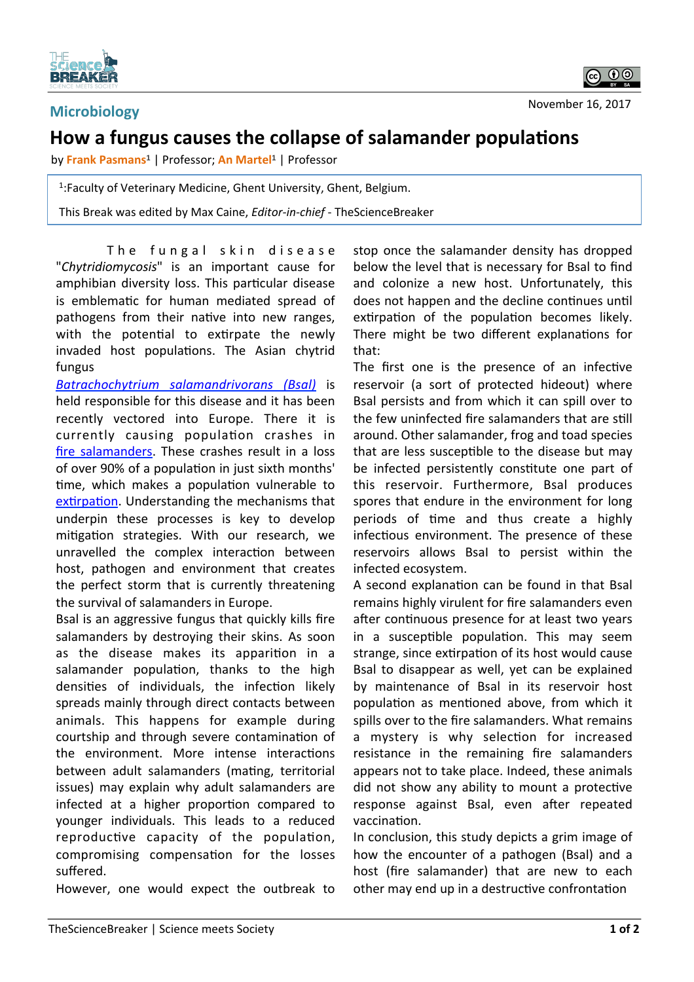

## **Microbiology**

## **How a fungus causes the collapse of salamander populations**

by Frank Pasmans<sup>1</sup> | Professor; An Martel<sup>1</sup> | Professor

1: Faculty of Veterinary Medicine, Ghent University, Ghent, Belgium.

This Break was edited by Max Caine, *Editor-in-chief* - TheScienceBreaker

The fungal skin disease "*Chytridiomycosis*" is an important cause for amphibian diversity loss. This particular disease is emblematic for human mediated spread of pathogens from their native into new ranges, with the potential to extirpate the newly invaded host populations. The Asian chytrid fungus 

*Batrachochytrium salamandrivorans (Bsal)* is held responsible for this disease and it has been recently vectored into Europe. There it is currently causing population crashes in fire salamanders. These crashes result in a loss of over 90% of a population in just sixth months' time, which makes a population vulnerable to extirpation. Understanding the mechanisms that underpin these processes is key to develop mitigation strategies. With our research, we unravelled the complex interaction between host, pathogen and environment that creates the perfect storm that is currently threatening the survival of salamanders in Europe.

Bsal is an aggressive fungus that quickly kills fire salamanders by destroying their skins. As soon as the disease makes its apparition in a salamander population, thanks to the high densities of individuals, the infection likely spreads mainly through direct contacts between animals. This happens for example during courtship and through severe contamination of the environment. More intense interactions between adult salamanders (mating, territorial issues) may explain why adult salamanders are infected at a higher proportion compared to younger individuals. This leads to a reduced reproductive capacity of the population, compromising compensation for the losses suffered. 

However, one would expect the outbreak to

stop once the salamander density has dropped below the level that is necessary for Bsal to find and colonize a new host. Unfortunately, this does not happen and the decline continues until extirpation of the population becomes likely. There might be two different explanations for that: 

The first one is the presence of an infective reservoir (a sort of protected hideout) where Bsal persists and from which it can spill over to the few uninfected fire salamanders that are still around. Other salamander, frog and toad species that are less susceptible to the disease but may be infected persistently constitute one part of this reservoir. Furthermore, Bsal produces spores that endure in the environment for long periods of time and thus create a highly infectious environment. The presence of these reservoirs allows Bsal to persist within the infected ecosystem. 

A second explanation can be found in that Bsal remains highly virulent for fire salamanders even after continuous presence for at least two years in a susceptible population. This may seem strange, since extirpation of its host would cause Bsal to disappear as well, yet can be explained by maintenance of Bsal in its reservoir host population as mentioned above, from which it spills over to the fire salamanders. What remains a mystery is why selection for increased resistance in the remaining fire salamanders appears not to take place. Indeed, these animals did not show any ability to mount a protective response against Bsal, even after repeated vaccination.

In conclusion, this study depicts a grim image of how the encounter of a pathogen (Bsal) and a host (fire salamander) that are new to each other may end up in a destructive confrontation